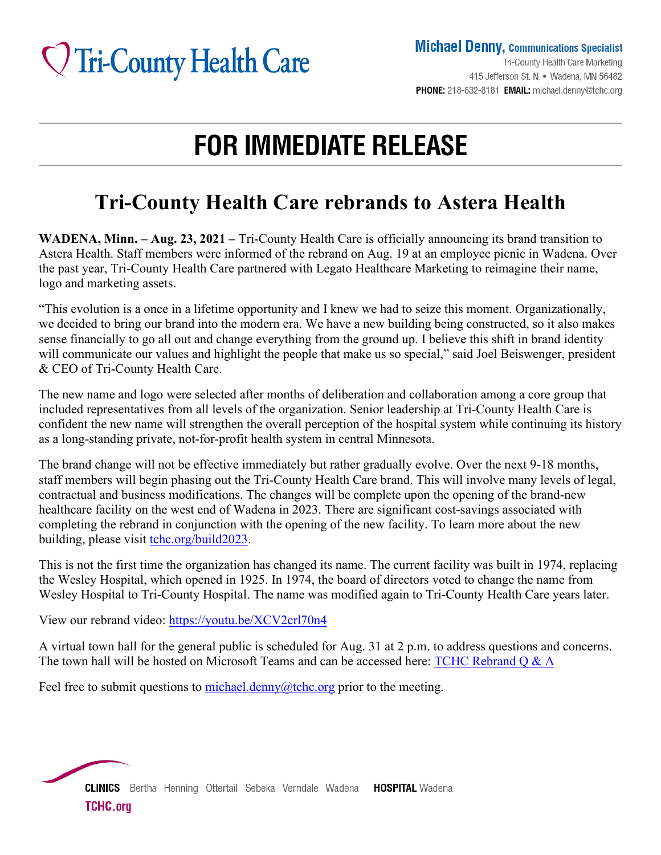# **V** Tri-County Health Care

**Michael Denny, Communications Specialist** 

Tri-County Health Care Marketing 415 Jefferson St. N. • Wadena, MN 56482 PHONE: 218-632-8181 EMAIL: michael.denny@tchc.org

## **FOR IMMEDIATE RELEASE**

### **Tri-County Health Care rebrands to Astera Health**

**WADENA, Minn. – Aug. 23, 2021 –** Tri-County Health Care is officially announcing its brand transition to Astera Health. Staff members were informed of the rebrand on Aug. 19 at an employee picnic in Wadena. Over the past year, Tri-County Health Care partnered with Legato Healthcare Marketing to reimagine their name, logo and marketing assets.

"This evolution is a once in a lifetime opportunity and I knew we had to seize this moment. Organizationally, we decided to bring our brand into the modern era. We have a new building being constructed, so it also makes sense financially to go all out and change everything from the ground up. I believe this shift in brand identity will communicate our values and highlight the people that make us so special," said Joel Beiswenger, president & CEO of Tri-County Health Care.

The new name and logo were selected after months of deliberation and collaboration among a core group that included representatives from all levels of the organization. Senior leadership at Tri-County Health Care is confident the new name will strengthen the overall perception of the hospital system while continuing its history as a long-standing private, not-for-profit health system in central Minnesota.

The brand change will not be effective immediately but rather gradually evolve. Over the next 9-18 months, staff members will begin phasing out the Tri-County Health Care brand. This will involve many levels of legal, contractual and business modifications. The changes will be complete upon the opening of the brand-new healthcare facility on the west end of Wadena in 2023. There are significant cost-savings associated with completing the rebrand in conjunction with the opening of the new facility. To learn more about the new building, please visit tchc.org/build2023.

This is not the first time the organization has changed its name. The current facility was built in 1974, replacing the Wesley Hospital, which opened in 1925. In 1974, the board of directors voted to change the name from Wesley Hospital to Tri-County Hospital. The name was modified again to Tri-County Health Care years later.

View our rebrand video:<https://youtu.be/XCV2crl70n4>

A virtual town hall for the general public is scheduled for Aug. 31 at 2 p.m. to address questions and concerns. The town hall will be hosted on Microsoft Teams and can be accessed here: TCHC Rebrand O & A

Feel free to submit questions to [michael.denny@tchc.org](mailto:michael.denny@tchc.org) prior to the meeting.

**CLINICS** Bertha Henning Ottertail Sebeka Verndale Wadena **HOSPITAL** Wadena **TCHC.org**